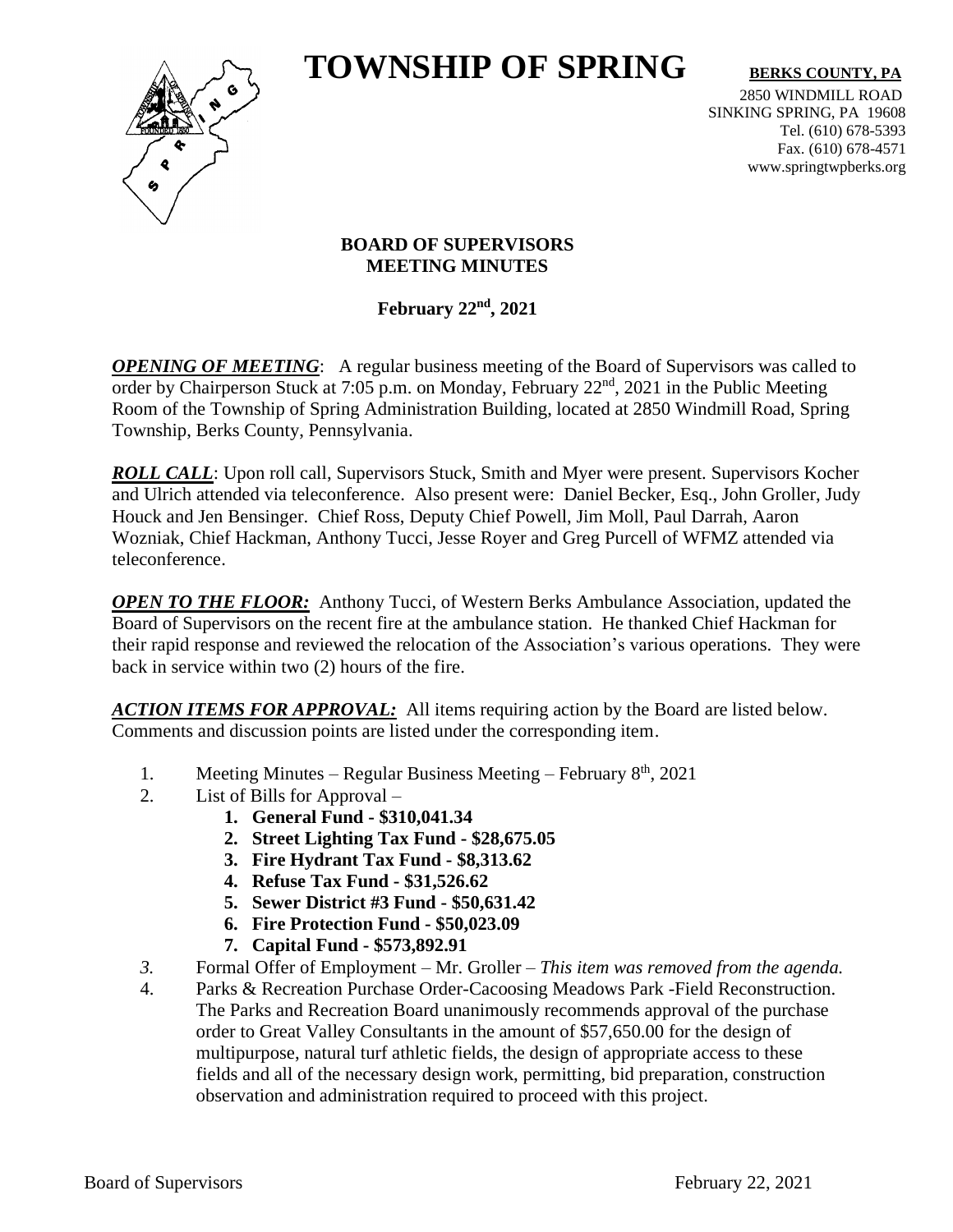# **TOWNSHIP OF SPRING** BERKS COUNTY, PA



2850 WINDMILL ROAD SINKING SPRING, PA 19608 Tel. (610) 678-5393 Fax. (610) 678-4571 www.springtwpberks.org

#### **BOARD OF SUPERVISORS MEETING MINUTES**

**February 22nd, 2021**

*OPENING OF MEETING*: A regular business meeting of the Board of Supervisors was called to order by Chairperson Stuck at 7:05 p.m. on Monday, February 22<sup>nd</sup>, 2021 in the Public Meeting Room of the Township of Spring Administration Building, located at 2850 Windmill Road, Spring Township, Berks County, Pennsylvania.

*ROLL CALL*: Upon roll call, Supervisors Stuck, Smith and Myer were present. Supervisors Kocher and Ulrich attended via teleconference. Also present were: Daniel Becker, Esq., John Groller, Judy Houck and Jen Bensinger. Chief Ross, Deputy Chief Powell, Jim Moll, Paul Darrah, Aaron Wozniak, Chief Hackman, Anthony Tucci, Jesse Royer and Greg Purcell of WFMZ attended via teleconference.

*OPEN TO THE FLOOR:* Anthony Tucci, of Western Berks Ambulance Association, updated the Board of Supervisors on the recent fire at the ambulance station. He thanked Chief Hackman for their rapid response and reviewed the relocation of the Association's various operations. They were back in service within two (2) hours of the fire.

*ACTION ITEMS FOR APPROVAL:* All items requiring action by the Board are listed below. Comments and discussion points are listed under the corresponding item.

- 1. Meeting Minutes Regular Business Meeting February 8<sup>th</sup>, 2021
- 2. List of Bills for Approval
	- **1. General Fund - \$310,041.34**
	- **2. Street Lighting Tax Fund - \$28,675.05**
	- **3. Fire Hydrant Tax Fund - \$8,313.62**
	- **4. Refuse Tax Fund - \$31,526.62**
	- **5. Sewer District #3 Fund - \$50,631.42**
	- **6. Fire Protection Fund - \$50,023.09**
	- **7. Capital Fund - \$573,892.91**
- *3.* Formal Offer of Employment Mr. Groller *This item was removed from the agenda.*
- 4. Parks & Recreation Purchase Order-Cacoosing Meadows Park -Field Reconstruction. The Parks and Recreation Board unanimously recommends approval of the purchase order to Great Valley Consultants in the amount of \$57,650.00 for the design of multipurpose, natural turf athletic fields, the design of appropriate access to these fields and all of the necessary design work, permitting, bid preparation, construction observation and administration required to proceed with this project.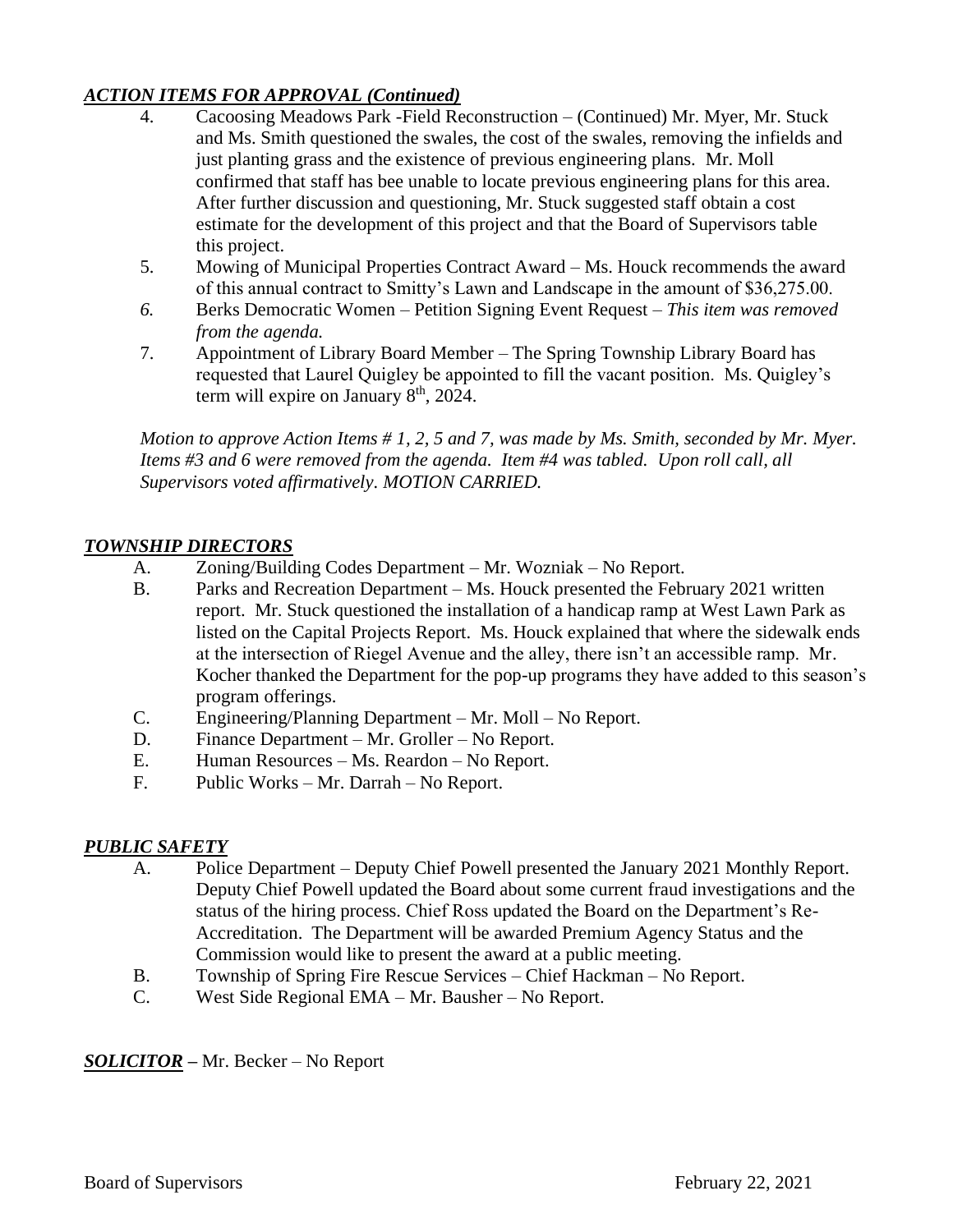# *ACTION ITEMS FOR APPROVAL (Continued)*

- 4. Cacoosing Meadows Park -Field Reconstruction (Continued) Mr. Myer, Mr. Stuck and Ms. Smith questioned the swales, the cost of the swales, removing the infields and just planting grass and the existence of previous engineering plans. Mr. Moll confirmed that staff has bee unable to locate previous engineering plans for this area. After further discussion and questioning, Mr. Stuck suggested staff obtain a cost estimate for the development of this project and that the Board of Supervisors table this project.
- 5. Mowing of Municipal Properties Contract Award Ms. Houck recommends the award of this annual contract to Smitty's Lawn and Landscape in the amount of \$36,275.00.
- *6.* Berks Democratic Women Petition Signing Event Request *This item was removed from the agenda.*
- 7. Appointment of Library Board Member The Spring Township Library Board has requested that Laurel Quigley be appointed to fill the vacant position. Ms. Quigley's term will expire on January  $8<sup>th</sup>$ , 2024.

*Motion to approve Action Items # 1, 2, 5 and 7, was made by Ms. Smith, seconded by Mr. Myer. Items #3 and 6 were removed from the agenda. Item #4 was tabled. Upon roll call, all Supervisors voted affirmatively. MOTION CARRIED.*

# *TOWNSHIP DIRECTORS*

- A. Zoning/Building Codes Department Mr. Wozniak No Report.
- B. Parks and Recreation Department Ms. Houck presented the February 2021 written report. Mr. Stuck questioned the installation of a handicap ramp at West Lawn Park as listed on the Capital Projects Report. Ms. Houck explained that where the sidewalk ends at the intersection of Riegel Avenue and the alley, there isn't an accessible ramp. Mr. Kocher thanked the Department for the pop-up programs they have added to this season's program offerings.
- C. Engineering/Planning Department Mr. Moll No Report.
- D. Finance Department Mr. Groller No Report.
- E. Human Resources Ms. Reardon No Report.
- F. Public Works Mr. Darrah No Report.

# *PUBLIC SAFETY*

- A. Police Department Deputy Chief Powell presented the January 2021 Monthly Report. Deputy Chief Powell updated the Board about some current fraud investigations and the status of the hiring process. Chief Ross updated the Board on the Department's Re-Accreditation. The Department will be awarded Premium Agency Status and the Commission would like to present the award at a public meeting.
- B. Township of Spring Fire Rescue Services Chief Hackman No Report.
- C. West Side Regional EMA Mr. Bausher No Report.

# *SOLICITOR –* Mr. Becker – No Report